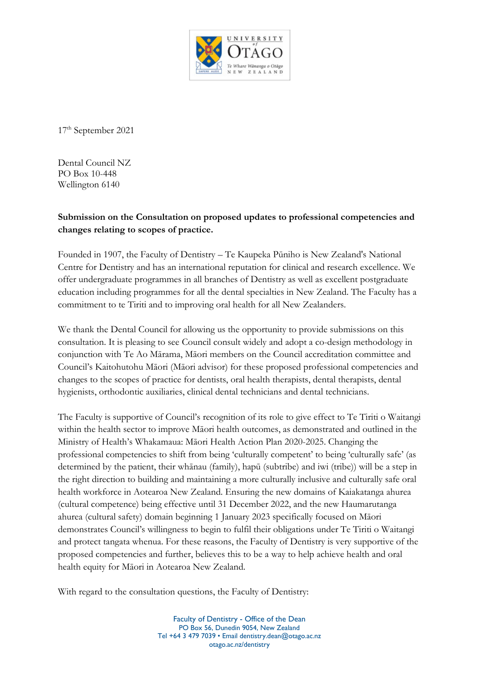

17th September 2021

Dental Council NZ PO Box 10-448 Wellington 6140

## **Submission on the Consultation on proposed updates to professional competencies and changes relating to scopes of practice.**

Founded in 1907, the Faculty of Dentistry – Te Kaupeka Pūniho is New Zealand's National Centre for Dentistry and has an international reputation for clinical and research excellence. We offer undergraduate programmes in all branches of Dentistry as well as excellent postgraduate education including programmes for all the dental specialties in New Zealand. The Faculty has a commitment to te Tiriti and to improving oral health for all New Zealanders.

We thank the Dental Council for allowing us the opportunity to provide submissions on this consultation. It is pleasing to see Council consult widely and adopt a co-design methodology in conjunction with Te Ao Mārama, Māori members on the Council accreditation committee and Council's Kaitohutohu Māori (Māori advisor) for these proposed professional competencies and changes to the scopes of practice for dentists, oral health therapists, dental therapists, dental hygienists, orthodontic auxiliaries, clinical dental technicians and dental technicians.

The Faculty is supportive of Council's recognition of its role to give effect to Te Tiriti o Waitangi within the health sector to improve Māori health outcomes, as demonstrated and outlined in the Ministry of Health's Whakamaua: Māori Health Action Plan 2020-2025. Changing the professional competencies to shift from being 'culturally competent' to being 'culturally safe' (as determined by the patient, their whānau (family), hapū (subtribe) and iwi (tribe)) will be a step in the right direction to building and maintaining a more culturally inclusive and culturally safe oral health workforce in Aotearoa New Zealand. Ensuring the new domains of Kaiakatanga ahurea (cultural competence) being effective until 31 December 2022, and the new Haumarutanga ahurea (cultural safety) domain beginning 1 January 2023 specifically focused on Māori demonstrates Council's willingness to begin to fulfil their obligations under Te Tiriti o Waitangi and protect tangata whenua. For these reasons, the Faculty of Dentistry is very supportive of the proposed competencies and further, believes this to be a way to help achieve health and oral health equity for Māori in Aotearoa New Zealand.

With regard to the consultation questions, the Faculty of Dentistry: